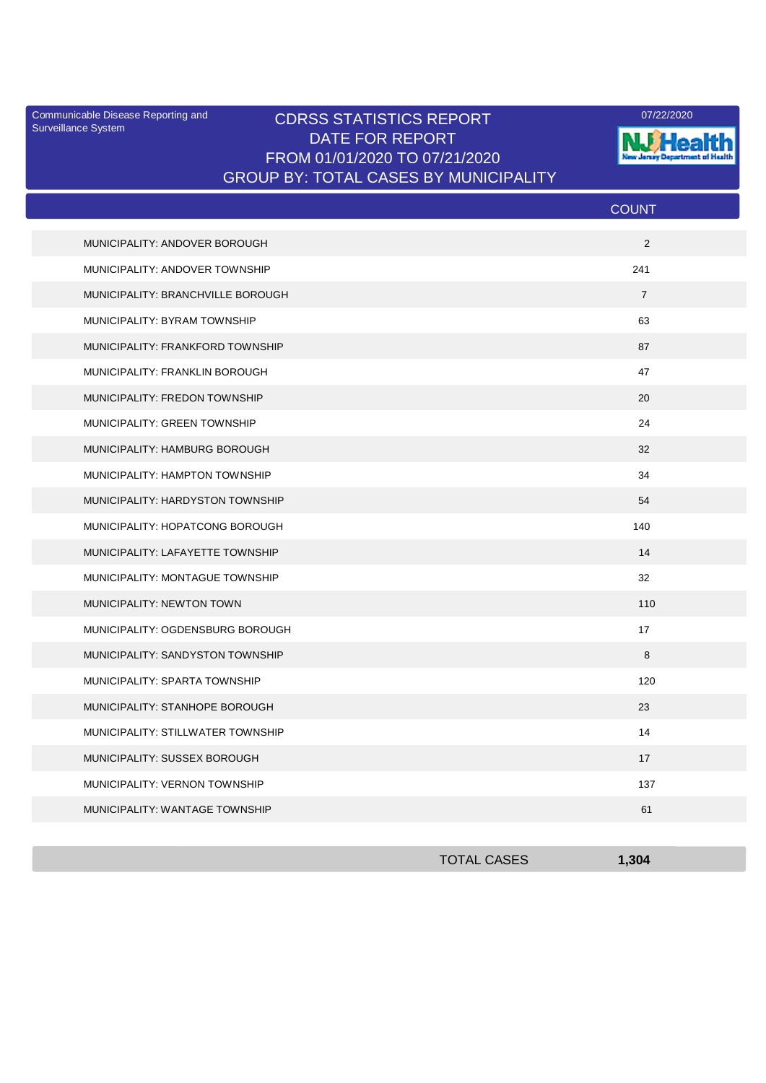Surveillance System

## Communicable Disease Reporting and CDRSS STATISTICS REPORT **COMMUNICAL COMMUNICATION** DATE FOR REPORT FROM 01/01/2020 TO 07/21/2020 GROUP BY: TOTAL CASES BY MUNICIPALITY



|                                   | <b>COUNT</b>   |
|-----------------------------------|----------------|
| MUNICIPALITY: ANDOVER BOROUGH     | 2              |
| MUNICIPALITY: ANDOVER TOWNSHIP    | 241            |
| MUNICIPALITY: BRANCHVILLE BOROUGH | $\overline{7}$ |
| MUNICIPALITY: BYRAM TOWNSHIP      | 63             |
| MUNICIPALITY: FRANKFORD TOWNSHIP  | 87             |
| MUNICIPALITY: FRANKLIN BOROUGH    | 47             |
| MUNICIPALITY: FREDON TOWNSHIP     | 20             |
| MUNICIPALITY: GREEN TOWNSHIP      | 24             |
| MUNICIPALITY: HAMBURG BOROUGH     | 32             |
| MUNICIPALITY: HAMPTON TOWNSHIP    | 34             |
| MUNICIPALITY: HARDYSTON TOWNSHIP  | 54             |
| MUNICIPALITY: HOPATCONG BOROUGH   | 140            |
| MUNICIPALITY: LAFAYETTE TOWNSHIP  | 14             |
| MUNICIPALITY: MONTAGUE TOWNSHIP   | 32             |
| MUNICIPALITY: NEWTON TOWN         | 110            |
| MUNICIPALITY: OGDENSBURG BOROUGH  | 17             |
| MUNICIPALITY: SANDYSTON TOWNSHIP  | 8              |
| MUNICIPALITY: SPARTA TOWNSHIP     | 120            |
| MUNICIPALITY: STANHOPE BOROUGH    | 23             |
| MUNICIPALITY: STILLWATER TOWNSHIP | 14             |
| MUNICIPALITY: SUSSEX BOROUGH      | 17             |
| MUNICIPALITY: VERNON TOWNSHIP     | 137            |
| MUNICIPALITY: WANTAGE TOWNSHIP    | 61             |

| <b>TOTAL CASES</b> | 1,304 |
|--------------------|-------|
|                    |       |